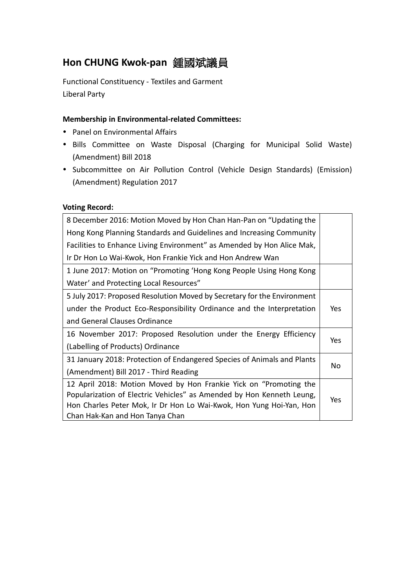# **Hon CHUNG Kwok-pan** 鍾國斌議員

Functional Constituency - Textiles and Garment Liberal Party

### **Membership in Environmental-related Committees:**

- Panel on Environmental Affairs
- Bills Committee on Waste Disposal (Charging for Municipal Solid Waste) (Amendment) Bill 2018
- Subcommittee on Air Pollution Control (Vehicle Design Standards) (Emission) (Amendment) Regulation 2017

#### **Voting Record:**

| 8 December 2016: Motion Moved by Hon Chan Han-Pan on "Updating the      |     |  |
|-------------------------------------------------------------------------|-----|--|
| Hong Kong Planning Standards and Guidelines and Increasing Community    |     |  |
| Facilities to Enhance Living Environment" as Amended by Hon Alice Mak,  |     |  |
| Ir Dr Hon Lo Wai-Kwok, Hon Frankie Yick and Hon Andrew Wan              |     |  |
| 1 June 2017: Motion on "Promoting 'Hong Kong People Using Hong Kong     |     |  |
| Water' and Protecting Local Resources"                                  |     |  |
| 5 July 2017: Proposed Resolution Moved by Secretary for the Environment |     |  |
| under the Product Eco-Responsibility Ordinance and the Interpretation   |     |  |
| and General Clauses Ordinance                                           |     |  |
| 16 November 2017: Proposed Resolution under the Energy Efficiency       |     |  |
| (Labelling of Products) Ordinance                                       | Yes |  |
| 31 January 2018: Protection of Endangered Species of Animals and Plants |     |  |
| (Amendment) Bill 2017 - Third Reading                                   | No  |  |
| 12 April 2018: Motion Moved by Hon Frankie Yick on "Promoting the       |     |  |
| Popularization of Electric Vehicles" as Amended by Hon Kenneth Leung,   |     |  |
| Hon Charles Peter Mok, Ir Dr Hon Lo Wai-Kwok, Hon Yung Hoi-Yan, Hon     |     |  |
| Chan Hak-Kan and Hon Tanya Chan                                         |     |  |